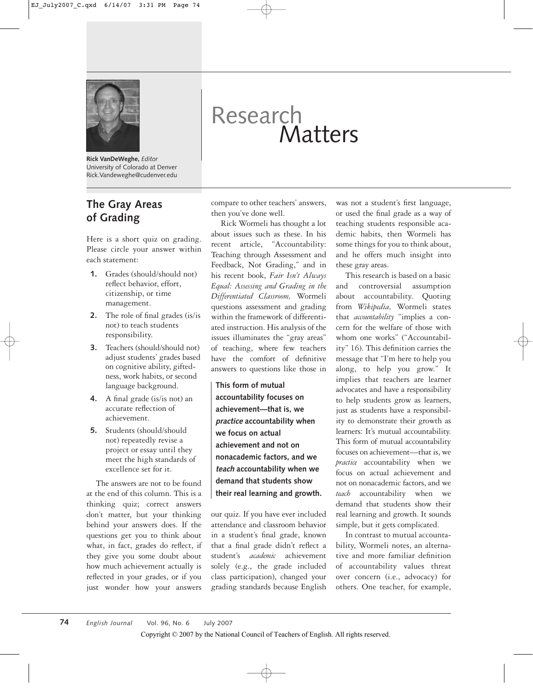

**Rick VanDeWeghe,** *Editor* University of Colorado at Denver Rick.Vandeweghe@cudenver.edu

# **The Gray Areas of Grading**

Here is a short quiz on grading. Please circle your answer within each statement:

- **1.** Grades (should/should not) reflect behavior, effort, citizenship, or time management.
- **2.** The role of final grades (is/is not) to teach students responsibility.
- **3.** Teachers (should/should not) adjust students' grades based on cognitive ability, giftedness, work habits, or second language background.
- **4.** A final grade (is/is not) an accurate reflection of achievement.
- **5.** Students (should/should not) repeatedly revise a project or essay until they meet the high standards of excellence set for it.

The answers are not to be found at the end of this column. This is a thinking quiz; correct answers don't matter, but your thinking behind your answers does. If the questions get you to think about what, in fact, grades do reflect, if they give you some doubt about how much achievement actually is reflected in your grades, or if you just wonder how your answers

# Research Matters

compare to other teachers' answers, then you've done well.

Rick Wormeli has thought a lot about issues such as these. In his recent article, "Accountability: Teaching through Assessment and Feedback, Not Grading," and in his recent book, *Fair Isn't Always Equal: Assessing and Grading in the Differentiated Classroom,* Wormeli questions assessment and grading within the framework of differentiated instruction. His analysis of the issues illuminates the "gray areas" of teaching, where few teachers have the comfort of definitive answers to questions like those in

**This form of mutual accountability focuses on achievement—that is, we practice accountability when we focus on actual achievement and not on nonacademic factors, and we teach accountability when we demand that students show their real learning and growth.**

our quiz. If you have ever included attendance and classroom behavior in a student's final grade, known that a final grade didn't reflect a student's *academic* achievement solely (e.g., the grade included class participation), changed your grading standards because English

was not a student's first language, or used the final grade as a way of teaching students responsible academic habits, then Wormeli has some things for you to think about, and he offers much insight into these gray areas.

This research is based on a basic and controversial assumption about accountability. Quoting from *Wikipedia,* Wormeli states that *accountability* "implies a concern for the welfare of those with whom one works" ("Accountability" 16). This definition carries the message that "I'm here to help you along, to help you grow." It implies that teachers are learner advocates and have a responsibility to help students grow as learners, just as students have a responsibility to demonstrate their growth as learners: It's mutual accountability. This form of mutual accountability focuses on achievement—that is, we *practice* accountability when we focus on actual achievement and not on nonacademic factors, and we *teach* accountability when we demand that students show their real learning and growth. It sounds simple, but it gets complicated.

In contrast to mutual accountability, Wormeli notes, an alternative and more familiar definition of accountability values threat over concern (i.e., advocacy) for others. One teacher, for example,

Copyright © 2007 by the National Council of Teachers of English. All rights reserved.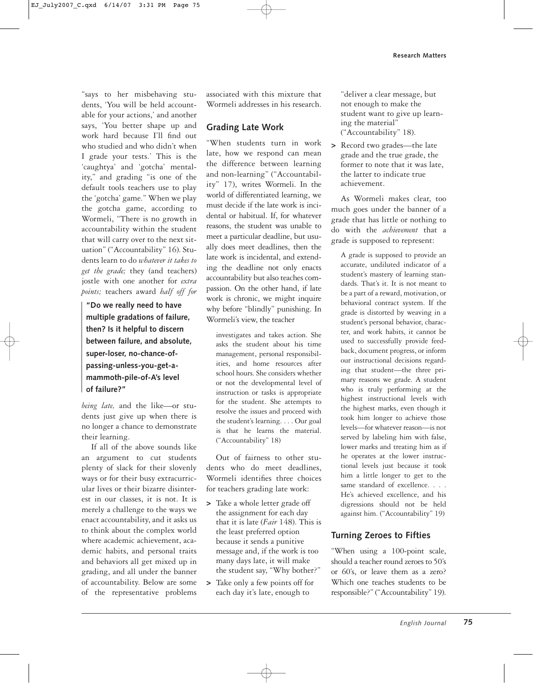"says to her misbehaving students, 'You will be held accountable for your actions,' and another says, 'You better shape up and work hard because I'll find out who studied and who didn't when I grade your tests.' This is the 'caughtya' and 'gotcha' mentality," and grading "is one of the default tools teachers use to play the 'gotcha' game." When we play the gotcha game, according to Wormeli, "There is no growth in accountability within the student that will carry over to the next situation" ("Accountability" 16). Students learn to do *whatever it takes to get the grade;* they (and teachers) jostle with one another for *extra points;* teachers award *half off for*

**"Do we really need to have multiple gradations of failure, then? Is it helpful to discern between failure, and absolute, super-loser, no-chance-ofpassing-unless-you-get-amammoth-pile-of-A's level of failure?"**

*being late,* and the like—or students just give up when there is no longer a chance to demonstrate their learning.

If all of the above sounds like an argument to cut students plenty of slack for their slovenly ways or for their busy extracurricular lives or their bizarre disinterest in our classes, it is not. It is merely a challenge to the ways we enact accountability, and it asks us to think about the complex world where academic achievement, academic habits, and personal traits and behaviors all get mixed up in grading, and all under the banner of accountability. Below are some of the representative problems

associated with this mixture that Wormeli addresses in his research.

#### **Grading Late Work**

"When students turn in work late, how we respond can mean the difference between learning and non-learning" ("Accountability" 17), writes Wormeli. In the world of differentiated learning, we must decide if the late work is incidental or habitual. If, for whatever reasons, the student was unable to meet a particular deadline, but usually does meet deadlines, then the late work is incidental, and extending the deadline not only enacts accountability but also teaches compassion. On the other hand, if late work is chronic, we might inquire why before "blindly" punishing. In Wormeli's view, the teacher

investigates and takes action. She asks the student about his time management, personal responsibilities, and home resources after school hours. She considers whether or not the developmental level of instruction or tasks is appropriate for the student. She attempts to resolve the issues and proceed with the student's learning. . . . Our goal is that he learns the material. ("Accountability" 18)

Out of fairness to other students who do meet deadlines, Wormeli identifies three choices for teachers grading late work:

- **>** Take a whole letter grade off the assignment for each day that it is late (*Fair* 148). This is the least preferred option because it sends a punitive message and, if the work is too many days late, it will make the student say, "Why bother?"
- **>** Take only a few points off for each day it's late, enough to

"deliver a clear message, but not enough to make the student want to give up learning the material" ("Accountability" 18).

**>** Record two grades—the late grade and the true grade, the former to note that it was late, the latter to indicate true achievement.

As Wormeli makes clear, too much goes under the banner of a grade that has little or nothing to do with the *achievement* that a grade is supposed to represent:

A grade is supposed to provide an accurate, undiluted indicator of a student's mastery of learning standards. That's it. It is not meant to be a part of a reward, motivation, or behavioral contract system. If the grade is distorted by weaving in a student's personal behavior, character, and work habits, it cannot be used to successfully provide feedback, document progress, or inform our instructional decisions regarding that student—the three primary reasons we grade. A student who is truly performing at the highest instructional levels with the highest marks, even though it took him longer to achieve those levels—for whatever reason—is not served by labeling him with false, lower marks and treating him as if he operates at the lower instructional levels just because it took him a little longer to get to the same standard of excellence. . . . He's achieved excellence, and his digressions should not be held against him. ("Accountability" 19)

#### **Turning Zeroes to Fifties**

"When using a 100-point scale, should a teacher round zeroes to 50's or 60's, or leave them as a zero? Which one teaches students to be responsible?" ("Accountability" 19).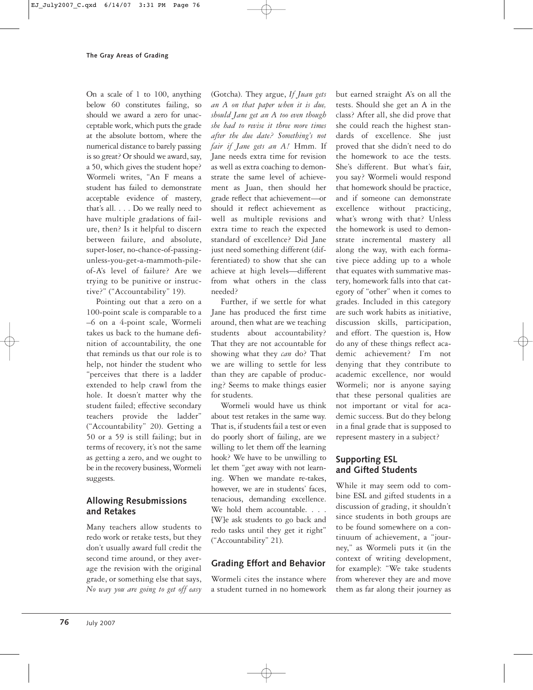On a scale of 1 to 100, anything below 60 constitutes failing, so should we award a zero for unacceptable work, which puts the grade at the absolute bottom, where the numerical distance to barely passing is so great? Or should we award, say, a 50, which gives the student hope? Wormeli writes, "An F means a student has failed to demonstrate acceptable evidence of mastery, that's all. . . . Do we really need to have multiple gradations of failure, then? Is it helpful to discern between failure, and absolute, super-loser, no-chance-of-passingunless-you-get-a-mammoth-pileof-A's level of failure? Are we trying to be punitive or instructive?" ("Accountability" 19).

Pointing out that a zero on a 100-point scale is comparable to a –6 on a 4-point scale, Wormeli takes us back to the humane definition of accountability, the one that reminds us that our role is to help, not hinder the student who "perceives that there is a ladder extended to help crawl from the hole. It doesn't matter why the student failed; effective secondary teachers provide the ladder" ("Accountability" 20). Getting a 50 or a 59 is still failing; but in terms of recovery, it's not the same as getting a zero, and we ought to be in the recovery business, Wormeli suggests.

# **Allowing Resubmissions and Retakes**

Many teachers allow students to redo work or retake tests, but they don't usually award full credit the second time around, or they average the revision with the original grade, or something else that says, *No way you are going to get off easy*

(Gotcha). They argue, *If Juan gets an A on that paper when it is due, should Jane get an A too even though she had to revise it three more times after the due date? Something's not fair if Jane gets an A!* Hmm. If Jane needs extra time for revision as well as extra coaching to demonstrate the same level of achievement as Juan, then should her grade reflect that achievement—or should it reflect achievement as well as multiple revisions and extra time to reach the expected standard of excellence? Did Jane just need something different (differentiated) to show that she can achieve at high levels—different from what others in the class needed?

Further, if we settle for what Jane has produced the first time around, then what are we teaching students about accountability? That they are not accountable for showing what they *can* do? That we are willing to settle for less than they are capable of producing? Seems to make things easier for students.

Wormeli would have us think about test retakes in the same way. That is, if students fail a test or even do poorly short of failing, are we willing to let them off the learning hook? We have to be unwilling to let them "get away with not learning. When we mandate re-takes, however, we are in students' faces, tenacious, demanding excellence. We hold them accountable. . . . [W]e ask students to go back and redo tasks until they get it right" ("Accountability" 21).

# **Grading Effort and Behavior**

Wormeli cites the instance where a student turned in no homework but earned straight A's on all the tests. Should she get an A in the class? After all, she did prove that she could reach the highest standards of excellence. She just proved that she didn't need to do the homework to ace the tests. She's different. But what's fair, you say? Wormeli would respond that homework should be practice, and if someone can demonstrate excellence without practicing, what's wrong with that? Unless the homework is used to demonstrate incremental mastery all along the way, with each formative piece adding up to a whole that equates with summative mastery, homework falls into that category of "other" when it comes to grades. Included in this category are such work habits as initiative, discussion skills, participation, and effort. The question is, How do any of these things reflect academic achievement? I'm not denying that they contribute to academic excellence, nor would Wormeli; nor is anyone saying that these personal qualities are not important or vital for academic success. But do they belong in a final grade that is supposed to represent mastery in a subject?

# **Supporting ESL and Gifted Students**

While it may seem odd to combine ESL and gifted students in a discussion of grading, it shouldn't since students in both groups are to be found somewhere on a continuum of achievement, a "journey," as Wormeli puts it (in the context of writing development, for example): "We take students from wherever they are and move them as far along their journey as